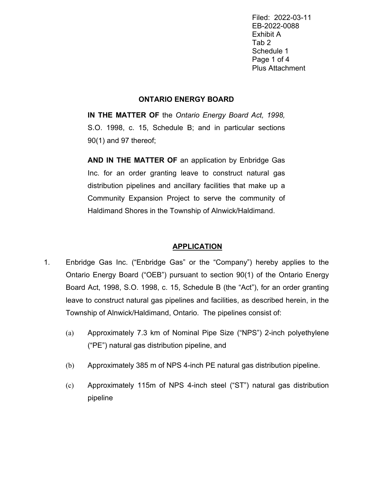Filed: 2022-03-11 EB-2022-0088 Exhibit A Tab 2 Schedule 1 Page 1 of 4 Plus Attachment

## **ONTARIO ENERGY BOARD**

**IN THE MATTER OF** the *Ontario Energy Board Act, 1998,* S.O. 1998, c. 15, Schedule B; and in particular sections 90(1) and 97 thereof;

**AND IN THE MATTER OF** an application by Enbridge Gas Inc. for an order granting leave to construct natural gas distribution pipelines and ancillary facilities that make up a Community Expansion Project to serve the community of Haldimand Shores in the Township of Alnwick/Haldimand.

## **APPLICATION**

- 1. Enbridge Gas Inc. ("Enbridge Gas" or the "Company") hereby applies to the Ontario Energy Board ("OEB") pursuant to section 90(1) of the Ontario Energy Board Act, 1998, S.O. 1998, c. 15, Schedule B (the "Act"), for an order granting leave to construct natural gas pipelines and facilities, as described herein, in the Township of Alnwick/Haldimand, Ontario. The pipelines consist of:
	- (a) Approximately 7.3 km of Nominal Pipe Size ("NPS") 2-inch polyethylene ("PE") natural gas distribution pipeline, and
	- (b) Approximately 385 m of NPS 4-inch PE natural gas distribution pipeline.
	- (c) Approximately 115m of NPS 4-inch steel ("ST") natural gas distribution pipeline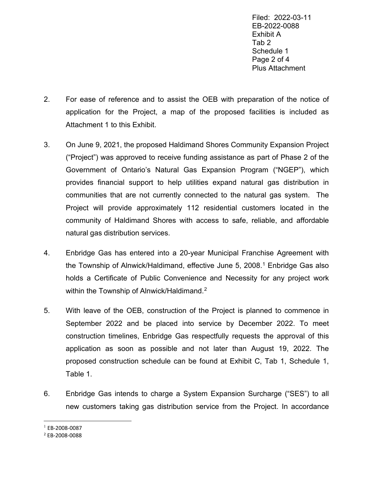Filed: 2022-03-11 EB-2022-0088 Exhibit A Tab 2 Schedule 1 Page 2 of 4 Plus Attachment

- 2. For ease of reference and to assist the OEB with preparation of the notice of application for the Project, a map of the proposed facilities is included as Attachment 1 to this Exhibit.
- 3. On June 9, 2021, the proposed Haldimand Shores Community Expansion Project ("Project") was approved to receive funding assistance as part of Phase 2 of the Government of Ontario's Natural Gas Expansion Program ("NGEP"), which provides financial support to help utilities expand natural gas distribution in communities that are not currently connected to the natural gas system. The Project will provide approximately 112 residential customers located in the community of Haldimand Shores with access to safe, reliable, and affordable natural gas distribution services.
- 4. Enbridge Gas has entered into a 20-year Municipal Franchise Agreement with the Township of Alnwick/Haldimand, effective June 5, 2008.<sup>[1](#page-1-0)</sup> Enbridge Gas also holds a Certificate of Public Convenience and Necessity for any project work within the Township of Alnwick/Haldimand.<sup>[2](#page-1-1)</sup>
- 5. With leave of the OEB, construction of the Project is planned to commence in September 2022 and be placed into service by December 2022. To meet construction timelines, Enbridge Gas respectfully requests the approval of this application as soon as possible and not later than August 19, 2022. The proposed construction schedule can be found at Exhibit C, Tab 1, Schedule 1, Table 1.
- 6. Enbridge Gas intends to charge a System Expansion Surcharge ("SES") to all new customers taking gas distribution service from the Project. In accordance

<span id="page-1-0"></span> $1$  EB-2008-0087

<span id="page-1-1"></span><sup>2</sup> EB-2008-0088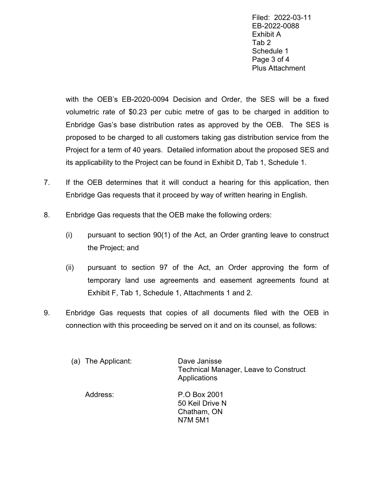Filed: 2022-03-11 EB-2022-0088 Exhibit A Tab 2 Schedule 1 Page 3 of 4 Plus Attachment

with the OEB's EB-2020-0094 Decision and Order, the SES will be a fixed volumetric rate of \$0.23 per cubic metre of gas to be charged in addition to Enbridge Gas's base distribution rates as approved by the OEB. The SES is proposed to be charged to all customers taking gas distribution service from the Project for a term of 40 years. Detailed information about the proposed SES and its applicability to the Project can be found in Exhibit D, Tab 1, Schedule 1.

- 7. If the OEB determines that it will conduct a hearing for this application, then Enbridge Gas requests that it proceed by way of written hearing in English.
- 8. Enbridge Gas requests that the OEB make the following orders:
	- (i) pursuant to section 90(1) of the Act, an Order granting leave to construct the Project; and
	- (ii) pursuant to section 97 of the Act, an Order approving the form of temporary land use agreements and easement agreements found at Exhibit F, Tab 1, Schedule 1, Attachments 1 and 2.
- 9. Enbridge Gas requests that copies of all documents filed with the OEB in connection with this proceeding be served on it and on its counsel, as follows:

| (a) The Applicant: | Dave Janisse<br><b>Technical Manager, Leave to Construct</b><br>Applications |
|--------------------|------------------------------------------------------------------------------|
| Address:           | P.O Box 2001<br>50 Keil Drive N<br>Chatham, ON<br><b>N7M 5M1</b>             |